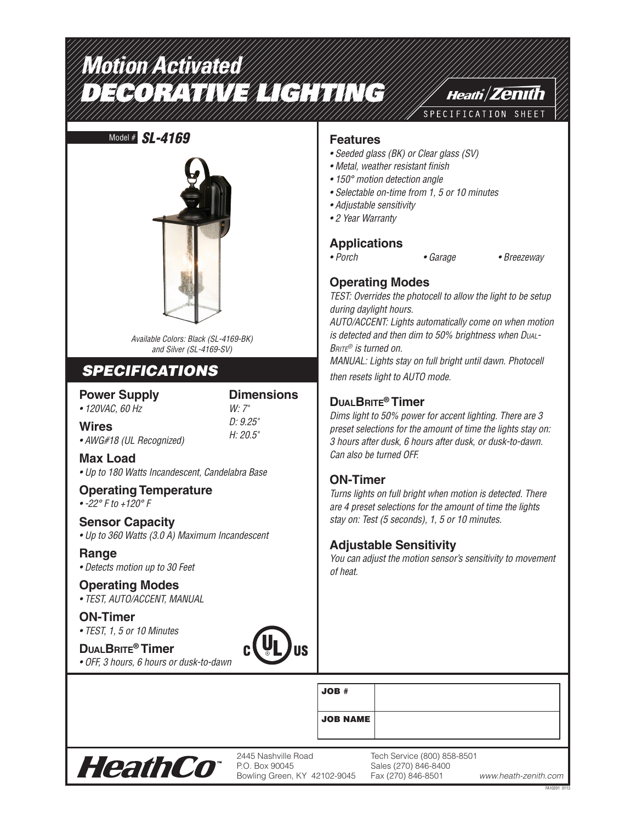## *Motion Activated DECORATIVE LIGHTING* **Heath Zenith** SPECIFICATION SHEET Model # *SL-4169* **Features** • Seeded glass (BK) or Clear glass (SV) • Metal, weather resistant finish • 150° motion detection angle • Selectable on-time from 1, 5 or 10 minutes • Adjustable sensitivity • 2 Year Warranty **Applications** • Porch • Garage • Breezeway **Operating Modes** TEST: Overrides the photocell to allow the light to be setup during daylight hours. AUTO/ACCENT: Lights automatically come on when motion is detected and then dim to 50% brightness when *Dual-*Available Colors: Black (SL-4169-BK) *Brite®* is turned on. and Silver (SL-4169-SV)MANUAL: Lights stay on full bright until dawn. Photocell  *SPECIFICATIONS* then resets light to AUTO mode. **Power Supply Dimensions DualBrite® Timer** • 120VAC, 60 Hz W: 7" Dims light to 50% power for accent lighting. There are 3 D: 9.25" **Wires** preset selections for the amount of time the lights stay on: H: 20.5" • AWG#18 (UL Recognized) 3 hours after dusk, 6 hours after dusk, or dusk-to-dawn. Can also be turned OFF. **Max Load** • Up to 180 Watts Incandescent, Candelabra Base **ON-Timer Operating Temperature** Turns lights on full bright when motion is detected. There • -22° F to +120° F are 4 preset selections for the amount of time the lights stay on: Test (5 seconds), 1, 5 or 10 minutes. **Sensor Capacity** • Up to 360 Watts (3.0 A) Maximum Incandescent **Adjustable Sensitivity Range** You can adjust the motion sensor's sensitivity to movement • Detects motion up to 30 Feet of heat. **Operating Modes** • TEST, AUTO/ACCENT, MANUAL **ON-Timer** • TEST, 1, 5 or 10 Minutes **DualBrite® Timer** • OFF, 3 hours, 6 hours or dusk-to-dawn JOB #

**HeathCo** 

2445 Nashville Road P.O. Box 90045 Bowling Green, KY 42102-9045

JOB NAME

Tech Service (800) 858-8501 Sales (270) 846-8400 Fax (270) 846-8501 *www.heath-zenith.com*

FA10201 0113